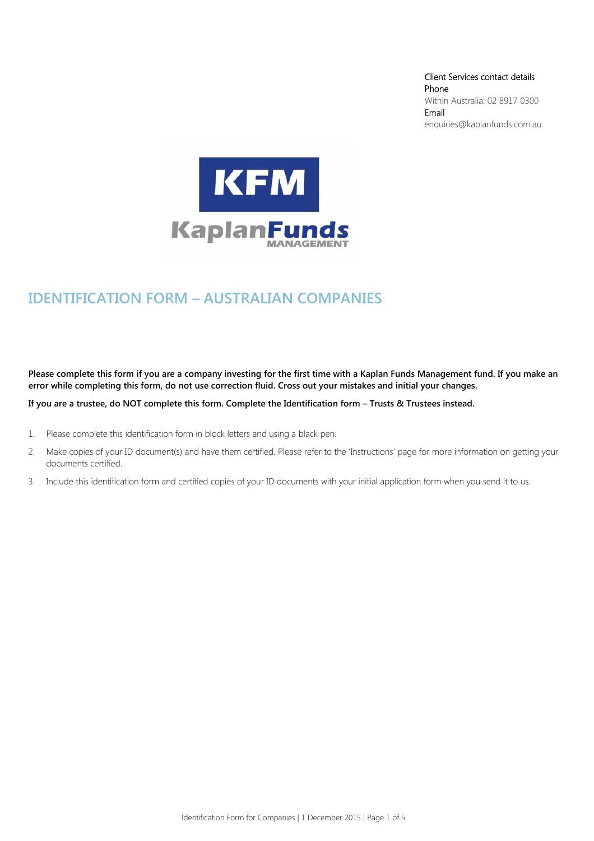Client Services contact details Phone Within Australia: 02 8917 0300 Email enquiries@kaplanfunds.com.au



# **IDENTIFICATION FORM – AUSTRALIAN COMPANIES**

**Please complete this form if you are a company investing for the first time with a Kaplan Funds Management fund. If you make an error while completing this form, do not use correction fluid. Cross out your mistakes and initial your changes.** 

**If you are a trustee, do NOT complete this form. Complete the Identification form – Trusts & Trustees instead.** 

- 1. Please complete this identification form in block letters and using a black pen.
- 2. Make copies of your ID document(s) and have them certified. Please refer to the 'Instructions' page for more information on getting your documents certified.
- 3. Include this identification form and certified copies of your ID documents with your initial application form when you send it to us.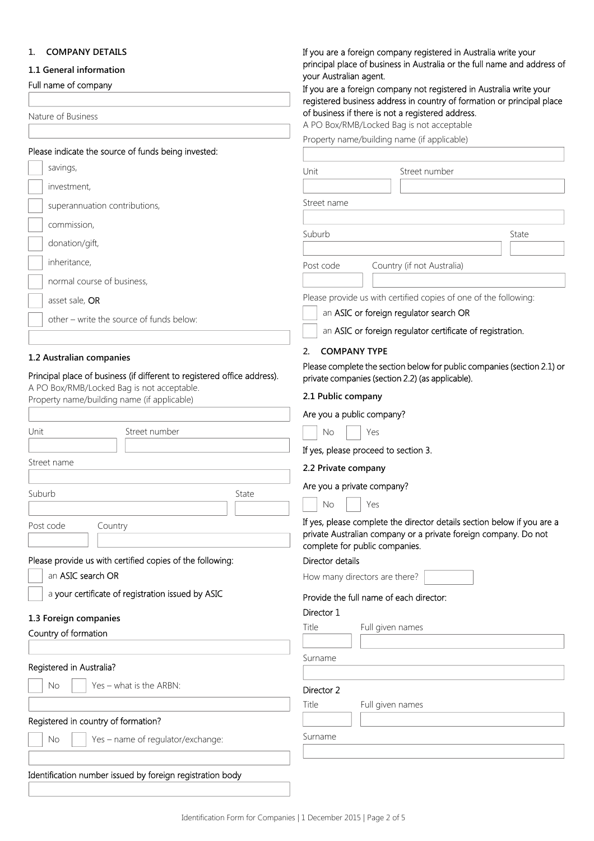## **1. COMPANY DETAILS**

## **1.1 General information**

Full name of company

Nature of Business

| Please indicate the source of funds being invested: |
|-----------------------------------------------------|
|-----------------------------------------------------|

| savings,                                                                                                               | Unit<br>Street number                                                                                                                                                        |  |
|------------------------------------------------------------------------------------------------------------------------|------------------------------------------------------------------------------------------------------------------------------------------------------------------------------|--|
| investment,                                                                                                            |                                                                                                                                                                              |  |
| superannuation contributions,                                                                                          | Street name                                                                                                                                                                  |  |
| commission,                                                                                                            |                                                                                                                                                                              |  |
| donation/gift,                                                                                                         | Suburb<br>State                                                                                                                                                              |  |
| inheritance,                                                                                                           | Country (if not Australia)<br>Post code                                                                                                                                      |  |
| normal course of business,                                                                                             |                                                                                                                                                                              |  |
| asset sale, OR                                                                                                         | Please provide us with certified copies of one of the following:                                                                                                             |  |
| other - write the source of funds below:                                                                               | an ASIC or foreign regulator search OR                                                                                                                                       |  |
|                                                                                                                        | an ASIC or foreign regulator certificate of registration.                                                                                                                    |  |
| 1.2 Australian companies                                                                                               | <b>COMPANY TYPE</b><br>2.                                                                                                                                                    |  |
| Principal place of business (if different to registered office address).<br>A PO Box/RMB/Locked Bag is not acceptable. | Please complete the section below for public companies (section 2.1) or<br>private companies (section 2.2) (as applicable).                                                  |  |
| Property name/building name (if applicable)                                                                            | 2.1 Public company                                                                                                                                                           |  |
|                                                                                                                        | Are you a public company?                                                                                                                                                    |  |
| Street number<br>Unit                                                                                                  | <b>No</b><br>Yes                                                                                                                                                             |  |
|                                                                                                                        | If yes, please proceed to section 3.                                                                                                                                         |  |
| Street name                                                                                                            | 2.2 Private company                                                                                                                                                          |  |
| Suburb<br>State                                                                                                        | Are you a private company?                                                                                                                                                   |  |
|                                                                                                                        | <b>No</b><br>Yes                                                                                                                                                             |  |
| Post code<br>Country                                                                                                   | If yes, please complete the director details section below if you are a<br>private Australian company or a private foreign company. Do not<br>complete for public companies. |  |
| Please provide us with certified copies of the following:                                                              | Director details                                                                                                                                                             |  |
| an ASIC search OR                                                                                                      | How many directors are there?                                                                                                                                                |  |
| a your certificate of registration issued by ASIC                                                                      | Provide the full name of each director:                                                                                                                                      |  |
| 1.3 Foreign companies                                                                                                  | Director 1                                                                                                                                                                   |  |
| Country of formation                                                                                                   | Title<br>Full given names                                                                                                                                                    |  |
|                                                                                                                        | Surname                                                                                                                                                                      |  |
| Registered in Australia?                                                                                               |                                                                                                                                                                              |  |
| Yes - what is the ARBN:<br>No                                                                                          | Director 2                                                                                                                                                                   |  |
|                                                                                                                        | Title<br>Full given names                                                                                                                                                    |  |
| Registered in country of formation?                                                                                    |                                                                                                                                                                              |  |
| No<br>Yes - name of regulator/exchange:                                                                                | Surname                                                                                                                                                                      |  |

If you are a foreign company registered in Australia write your principal place of business in Australia or the full name and address of

of business if there is not a registered address. A PO Box/RMB/Locked Bag is not acceptable Property name/building name (if applicable)

If you are a foreign company not registered in Australia write your registered business address in country of formation or principal place

your Australian agent.

# Identification number issued by foreign registration body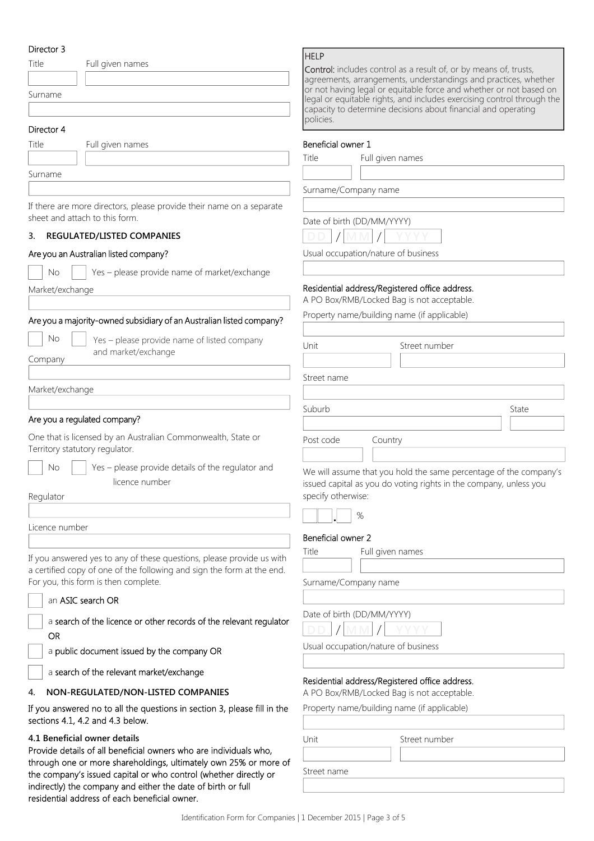## Director 3

| Director 3      |                                                                                                                | <b>HELP</b>                 |                                                                   |
|-----------------|----------------------------------------------------------------------------------------------------------------|-----------------------------|-------------------------------------------------------------------|
| Title           | Full given names                                                                                               |                             | Control: includes control as a re                                 |
|                 |                                                                                                                |                             | agreements, arrangements, und<br>or not having legal or equitable |
| Surname         |                                                                                                                |                             | legal or equitable rights, and inc                                |
|                 |                                                                                                                | policies.                   | capacity to determine decisions                                   |
| Director 4      |                                                                                                                |                             |                                                                   |
| Title           | Full given names                                                                                               | Beneficial owner 1          |                                                                   |
|                 |                                                                                                                | Title                       | Full given names                                                  |
| Surname         |                                                                                                                |                             |                                                                   |
|                 |                                                                                                                | Surname/Company name        |                                                                   |
|                 | If there are more directors, please provide their name on a separate                                           |                             |                                                                   |
|                 | sheet and attach to this form.                                                                                 | Date of birth (DD/MM/YYYY)  |                                                                   |
| 3.              | REGULATED/LISTED COMPANIES                                                                                     |                             |                                                                   |
|                 | Are you an Australian listed company?                                                                          |                             | Usual occupation/nature of busi                                   |
|                 |                                                                                                                |                             |                                                                   |
| No              | Yes - please provide name of market/exchange                                                                   |                             |                                                                   |
| Market/exchange |                                                                                                                |                             | Residential address/Registered c                                  |
|                 |                                                                                                                |                             | A PO Box/RMB/Locked Bag is no                                     |
|                 | Are you a majority-owned subsidiary of an Australian listed company?                                           |                             | Property name/building name (if                                   |
| No              | Yes - please provide name of listed company                                                                    |                             |                                                                   |
|                 | and market/exchange                                                                                            | Unit                        | Street                                                            |
| Company         |                                                                                                                |                             |                                                                   |
|                 |                                                                                                                | Street name                 |                                                                   |
| Market/exchange |                                                                                                                |                             |                                                                   |
|                 |                                                                                                                | Suburb                      |                                                                   |
|                 | Are you a regulated company?                                                                                   |                             |                                                                   |
|                 | One that is licensed by an Australian Commonwealth, State or                                                   | Post code                   | Country                                                           |
|                 | Territory statutory regulator.                                                                                 |                             |                                                                   |
| <b>No</b>       | Yes - please provide details of the regulator and                                                              |                             | We will assume that you hold the                                  |
|                 | licence number                                                                                                 |                             | issued capital as you do voting r                                 |
| Regulator       |                                                                                                                | specify otherwise:          |                                                                   |
|                 |                                                                                                                | %                           |                                                                   |
| Licence number  |                                                                                                                |                             |                                                                   |
|                 |                                                                                                                | Beneficial owner 2<br>Title | Full given names                                                  |
|                 | If you answered yes to any of these questions, please provide us with                                          |                             |                                                                   |
|                 | a certified copy of one of the following and sign the form at the end.<br>For you, this form is then complete. |                             |                                                                   |
|                 |                                                                                                                | Surname/Company name        |                                                                   |
|                 | an ASIC search OR                                                                                              |                             |                                                                   |
|                 | a search of the licence or other records of the relevant regulator                                             | Date of birth (DD/MM/YYYY)  |                                                                   |
| <b>OR</b>       |                                                                                                                |                             |                                                                   |
|                 | a public document issued by the company OR                                                                     |                             | Usual occupation/nature of busi                                   |
|                 | a search of the relevant market/exchange                                                                       |                             |                                                                   |
|                 |                                                                                                                |                             | Residential address/Registered c                                  |
| 4.              | NON-REGULATED/NON-LISTED COMPANIES                                                                             |                             | A PO Box/RMB/Locked Bag is no                                     |
|                 | If you answered no to all the questions in section 3, please fill in the<br>sections 4.1, 4.2 and 4.3 below.   |                             | Property name/building name (it                                   |
|                 | 4.1 Beneficial owner details                                                                                   | Unit                        | Street                                                            |
|                 | Provide details of all beneficial owners who are individuals who,                                              |                             |                                                                   |
|                 | through one or more shareholdings, ultimately own 25% or more of                                               | Street name                 |                                                                   |
|                 | the company's issued capital or who control (whether directly or                                               |                             |                                                                   |

indirectly) the company and either the date of birth or full

residential address of each beneficial owner.

| <b>Control:</b> includes control as a result of, or by means of, trusts,<br>agreements, arrangements, understandings and practices, whether<br>or not having legal or equitable force and whether or not based on<br>legal or equitable rights, and includes exercising control through the<br>capacity to determine decisions about financial and operating |
|--------------------------------------------------------------------------------------------------------------------------------------------------------------------------------------------------------------------------------------------------------------------------------------------------------------------------------------------------------------|
| policies.                                                                                                                                                                                                                                                                                                                                                    |

**DD MM YYYY**  YYYY)

e of business

## gistered office address.

Bag is not acceptable.

| Property name/building name (if applicable) |  |  |
|---------------------------------------------|--|--|
|---------------------------------------------|--|--|

| Unit        | Street number |       |
|-------------|---------------|-------|
|             |               |       |
| Street name |               |       |
|             |               |       |
| Suburb      |               | State |
|             |               |       |
| Post code   | Country       |       |
|             |               |       |

u hold the same percentage of the company's o voting rights in the company, unless you

## YYYY)

e of business

# gistered office address.

Bag is not acceptable.

g name (if applicable)

| Unit        | Street number |
|-------------|---------------|
|             |               |
| Street name |               |
|             |               |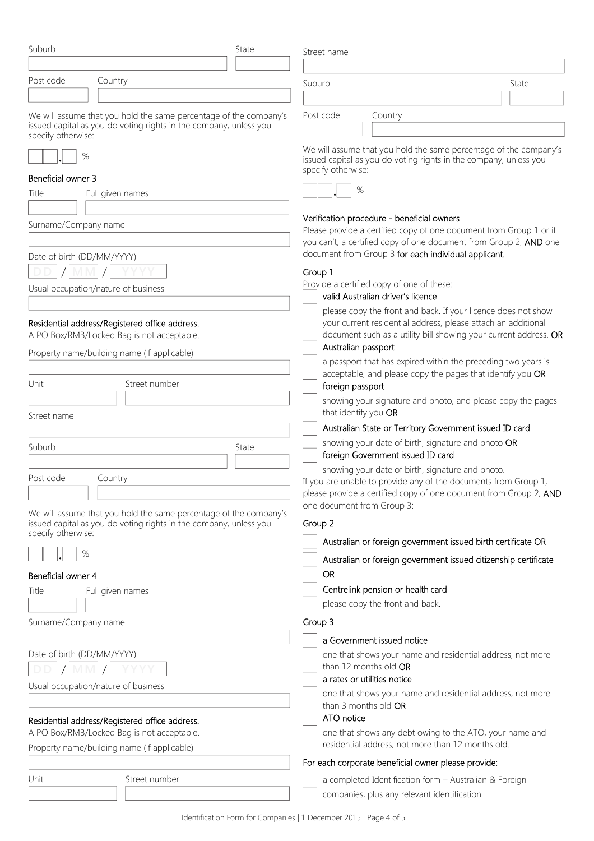| Suburb                                                                                                                                                       | State | Street name                                                                                                                                                                                                               |       |  |
|--------------------------------------------------------------------------------------------------------------------------------------------------------------|-------|---------------------------------------------------------------------------------------------------------------------------------------------------------------------------------------------------------------------------|-------|--|
|                                                                                                                                                              |       |                                                                                                                                                                                                                           |       |  |
| Post code<br>Country                                                                                                                                         |       | Suburb                                                                                                                                                                                                                    | State |  |
| We will assume that you hold the same percentage of the company's<br>issued capital as you do voting rights in the company, unless you<br>specify otherwise: |       | Post code<br>Country                                                                                                                                                                                                      |       |  |
| %                                                                                                                                                            |       | We will assume that you hold the same percentage of the company's<br>issued capital as you do voting rights in the company, unless you<br>specify otherwise:                                                              |       |  |
| Beneficial owner 3                                                                                                                                           |       |                                                                                                                                                                                                                           |       |  |
| Title<br>Full given names                                                                                                                                    |       | %                                                                                                                                                                                                                         |       |  |
|                                                                                                                                                              |       |                                                                                                                                                                                                                           |       |  |
| Surname/Company name                                                                                                                                         |       | Verification procedure - beneficial owners<br>Please provide a certified copy of one document from Group 1 or if<br>you can't, a certified copy of one document from Group 2, AND one                                     |       |  |
|                                                                                                                                                              |       |                                                                                                                                                                                                                           |       |  |
| Date of birth (DD/MM/YYYY)                                                                                                                                   |       | document from Group 3 for each individual applicant.                                                                                                                                                                      |       |  |
|                                                                                                                                                              |       | Group 1                                                                                                                                                                                                                   |       |  |
| Usual occupation/nature of business                                                                                                                          |       | Provide a certified copy of one of these:                                                                                                                                                                                 |       |  |
|                                                                                                                                                              |       | valid Australian driver's licence                                                                                                                                                                                         |       |  |
| Residential address/Registered office address.<br>A PO Box/RMB/Locked Bag is not acceptable.                                                                 |       | please copy the front and back. If your licence does not show<br>your current residential address, please attach an additional<br>document such as a utility bill showing your current address. OR<br>Australian passport |       |  |
| Property name/building name (if applicable)                                                                                                                  |       | a passport that has expired within the preceding two years is                                                                                                                                                             |       |  |
|                                                                                                                                                              |       | acceptable, and please copy the pages that identify you OR                                                                                                                                                                |       |  |
| Street number<br>Unit                                                                                                                                        |       | foreign passport                                                                                                                                                                                                          |       |  |
|                                                                                                                                                              |       | showing your signature and photo, and please copy the pages                                                                                                                                                               |       |  |
| Street name                                                                                                                                                  |       | that identify you OR                                                                                                                                                                                                      |       |  |
|                                                                                                                                                              |       | Australian State or Territory Government issued ID card                                                                                                                                                                   |       |  |
| Suburb                                                                                                                                                       | State | showing your date of birth, signature and photo OR<br>foreign Government issued ID card                                                                                                                                   |       |  |
| Post code<br>Country                                                                                                                                         |       | showing your date of birth, signature and photo.<br>If you are unable to provide any of the documents from Group 1,<br>please provide a certified copy of one document from Group 2, AND<br>one document from Group 3:    |       |  |
| We will assume that you hold the same percentage of the company's                                                                                            |       |                                                                                                                                                                                                                           |       |  |
| issued capital as you do voting rights in the company, unless you<br>specify otherwise:                                                                      |       | Group 2                                                                                                                                                                                                                   |       |  |
|                                                                                                                                                              |       | Australian or foreign government issued birth certificate OR                                                                                                                                                              |       |  |
| %<br>Beneficial owner 4                                                                                                                                      |       | Australian or foreign government issued citizenship certificate<br><b>OR</b>                                                                                                                                              |       |  |
| Title<br>Full given names                                                                                                                                    |       | Centrelink pension or health card                                                                                                                                                                                         |       |  |
|                                                                                                                                                              |       | please copy the front and back.                                                                                                                                                                                           |       |  |
| Surname/Company name                                                                                                                                         |       | Group 3                                                                                                                                                                                                                   |       |  |
|                                                                                                                                                              |       | a Government issued notice                                                                                                                                                                                                |       |  |
| Date of birth (DD/MM/YYYY)                                                                                                                                   |       | one that shows your name and residential address, not more<br>than 12 months old OR                                                                                                                                       |       |  |
| Usual occupation/nature of business                                                                                                                          |       | a rates or utilities notice                                                                                                                                                                                               |       |  |
|                                                                                                                                                              |       | one that shows your name and residential address, not more<br>than 3 months old OR                                                                                                                                        |       |  |
| Residential address/Registered office address.<br>A PO Box/RMB/Locked Bag is not acceptable.                                                                 |       | ATO notice                                                                                                                                                                                                                |       |  |
|                                                                                                                                                              |       | one that shows any debt owing to the ATO, your name and<br>residential address, not more than 12 months old.                                                                                                              |       |  |
| Property name/building name (if applicable)                                                                                                                  |       | For each corporate beneficial owner please provide:                                                                                                                                                                       |       |  |
| Unit<br>Street number                                                                                                                                        |       | a completed Identification form - Australian & Foreign                                                                                                                                                                    |       |  |
|                                                                                                                                                              |       | companies, plus any relevant identification                                                                                                                                                                               |       |  |